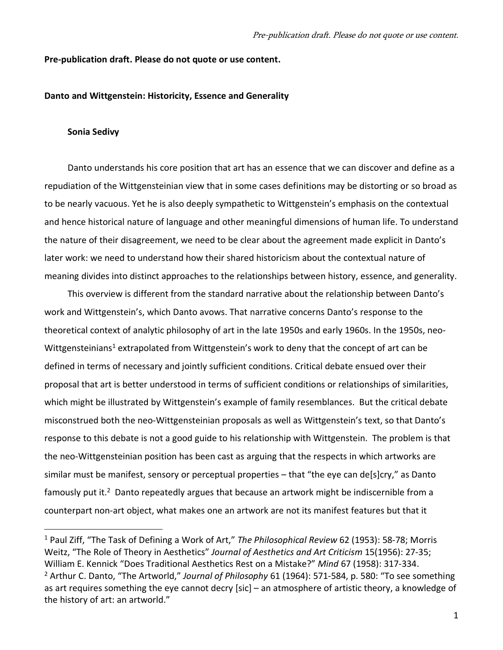### **Pre-publication draft. Please do not quote or use content.**

## **Danto and Wittgenstein: Historicity, Essence and Generality**

### **Sonia Sedivy**

Danto understands his core position that art has an essence that we can discover and define as a repudiation of the Wittgensteinian view that in some cases definitions may be distorting or so broad as to be nearly vacuous. Yet he is also deeply sympathetic to Wittgenstein's emphasis on the contextual and hence historical nature of language and other meaningful dimensions of human life. To understand the nature of their disagreement, we need to be clear about the agreement made explicit in Danto's later work: we need to understand how their shared historicism about the contextual nature of meaning divides into distinct approaches to the relationships between history, essence, and generality.

This overview is different from the standard narrative about the relationship between Danto's work and Wittgenstein's, which Danto avows. That narrative concerns Danto's response to the theoretical context of analytic philosophy of art in the late 1950s and early 1960s. In the 1950s, neo-Wittgensteinians<sup>1</sup> extrapolated from Wittgenstein's work to deny that the concept of art can be defined in terms of necessary and jointly sufficient conditions. Critical debate ensued over their proposal that art is better understood in terms of sufficient conditions or relationships of similarities, which might be illustrated by Wittgenstein's example of family resemblances. But the critical debate misconstrued both the neo-Wittgensteinian proposals as well as Wittgenstein's text, so that Danto's response to this debate is not a good guide to his relationship with Wittgenstein. The problem is that the neo-Wittgensteinian position has been cast as arguing that the respects in which artworks are similar must be manifest, sensory or perceptual properties – that "the eye can de[s]cry," as Danto famously put it.<sup>2</sup> Danto repeatedly argues that because an artwork might be indiscernible from a counterpart non-art object, what makes one an artwork are not its manifest features but that it

<sup>1</sup> Paul Ziff, "The Task of Defining a Work of Art," *The Philosophical Review* 62 (1953): 58-78; Morris Weitz, "The Role of Theory in Aesthetics" *Journal of Aesthetics and Art Criticism* 15(1956): 27-35; William E. Kennick "Does Traditional Aesthetics Rest on a Mistake?" *Mind* 67 (1958): 317-334. <sup>2</sup> Arthur C. Danto, "The Artworld," *Journal of Philosophy* 61 (1964): 571-584, p. 580: "To see something as art requires something the eye cannot decry [sic] – an atmosphere of artistic theory, a knowledge of the history of art: an artworld."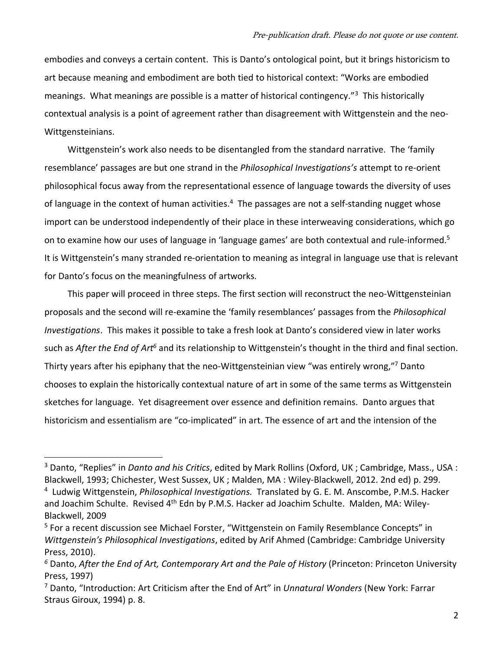embodies and conveys a certain content. This is Danto's ontological point, but it brings historicism to art because meaning and embodiment are both tied to historical context: "Works are embodied meanings. What meanings are possible is a matter of historical contingency."<sup>3</sup> This historically contextual analysis is a point of agreement rather than disagreement with Wittgenstein and the neo-Wittgensteinians.

Wittgenstein's work also needs to be disentangled from the standard narrative. The 'family resemblance' passages are but one strand in the *Philosophical Investigations's* attempt to re-orient philosophical focus away from the representational essence of language towards the diversity of uses of language in the context of human activities.<sup>4</sup> The passages are not a self-standing nugget whose import can be understood independently of their place in these interweaving considerations, which go on to examine how our uses of language in 'language games' are both contextual and rule-informed.<sup>5</sup> It is Wittgenstein's many stranded re-orientation to meaning as integral in language use that is relevant for Danto's focus on the meaningfulness of artworks.

This paper will proceed in three steps. The first section will reconstruct the neo-Wittgensteinian proposals and the second will re-examine the 'family resemblances' passages from the *Philosophical Investigations*. This makes it possible to take a fresh look at Danto's considered view in later works such as *After the End of Art<sup>6</sup>* and its relationship to Wittgenstein's thought in the third and final section. Thirty years after his epiphany that the neo-Wittgensteinian view "was entirely wrong,"<sup>7</sup> Danto chooses to explain the historically contextual nature of art in some of the same terms as Wittgenstein sketches for language. Yet disagreement over essence and definition remains. Danto argues that historicism and essentialism are "co-implicated" in art. The essence of art and the intension of the

<sup>3</sup> Danto, "Replies" in *Danto and his Critics*, edited by Mark Rollins (Oxford, UK ; Cambridge, Mass., USA : Blackwell, 1993; Chichester, West Sussex, UK ; Malden, MA : Wiley-Blackwell, 2012. 2nd ed) p. 299.

<sup>4</sup> Ludwig Wittgenstein, *Philosophical Investigations.* Translated by G. E. M. Anscombe, P.M.S. Hacker and Joachim Schulte. Revised 4<sup>th</sup> Edn by P.M.S. Hacker ad Joachim Schulte. Malden, MA: Wiley-Blackwell, 2009

<sup>&</sup>lt;sup>5</sup> For a recent discussion see Michael Forster, "Wittgenstein on Family Resemblance Concepts" in *Wittgenstein's Philosophical Investigations*, edited by Arif Ahmed (Cambridge: Cambridge University Press, 2010).

*<sup>6</sup>* Danto, *After the End of Art, Contemporary Art and the Pale of History* (Princeton: Princeton University Press, 1997)

<sup>7</sup> Danto, "Introduction: Art Criticism after the End of Art" in *Unnatural Wonders* (New York: Farrar Straus Giroux, 1994) p. 8.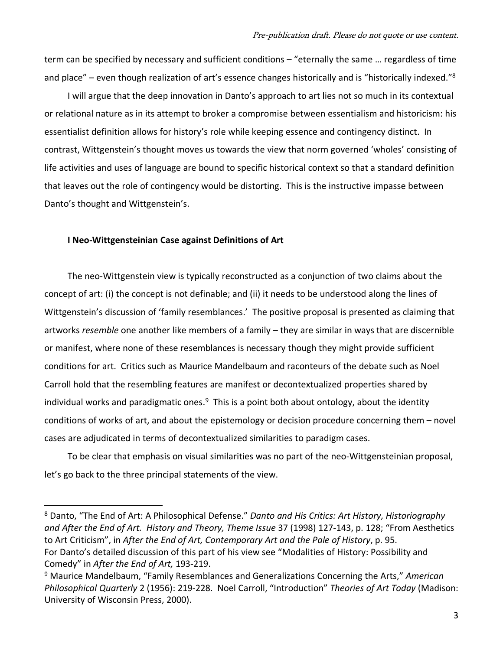term can be specified by necessary and sufficient conditions – "eternally the same … regardless of time and place" – even though realization of art's essence changes historically and is "historically indexed."<sup>8</sup>

I will argue that the deep innovation in Danto's approach to art lies not so much in its contextual or relational nature as in its attempt to broker a compromise between essentialism and historicism: his essentialist definition allows for history's role while keeping essence and contingency distinct.In contrast, Wittgenstein's thought moves us towards the view that norm governed 'wholes' consisting of life activities and uses of language are bound to specific historical context so that a standard definition that leaves out the role of contingency would be distorting.This is the instructive impasse between Danto's thought and Wittgenstein's.

## **I Neo-Wittgensteinian Case against Definitions of Art**

The neo-Wittgenstein view is typically reconstructed as a conjunction of two claims about the concept of art: (i) the concept is not definable; and (ii) it needs to be understood along the lines of Wittgenstein's discussion of 'family resemblances.' The positive proposal is presented as claiming that artworks *resemble* one another like members of a family – they are similar in ways that are discernible or manifest, where none of these resemblances is necessary though they might provide sufficient conditions for art. Critics such as Maurice Mandelbaum and raconteurs of the debate such as Noel Carroll hold that the resembling features are manifest or decontextualized properties shared by individual works and paradigmatic ones.<sup>9</sup> This is a point both about ontology, about the identity conditions of works of art, and about the epistemology or decision procedure concerning them – novel cases are adjudicated in terms of decontextualized similarities to paradigm cases.

To be clear that emphasis on visual similarities was no part of the neo-Wittgensteinian proposal, let's go back to the three principal statements of the view.

<sup>8</sup> Danto, "The End of Art: A Philosophical Defense." *Danto and His Critics: Art History, Historiography and After the End of Art. History and Theory, Theme Issue* 37 (1998) 127-143, p. 128; "From Aesthetics to Art Criticism", in *After the End of Art, Contemporary Art and the Pale of History*, p. 95. For Danto's detailed discussion of this part of his view see "Modalities of History: Possibility and Comedy" in *After the End of Art,* 193-219.

<sup>9</sup> Maurice Mandelbaum, "Family Resemblances and Generalizations Concerning the Arts," *American Philosophical Quarterly* 2 (1956): 219-228. Noel Carroll, "Introduction" *Theories of Art Today* (Madison: University of Wisconsin Press, 2000).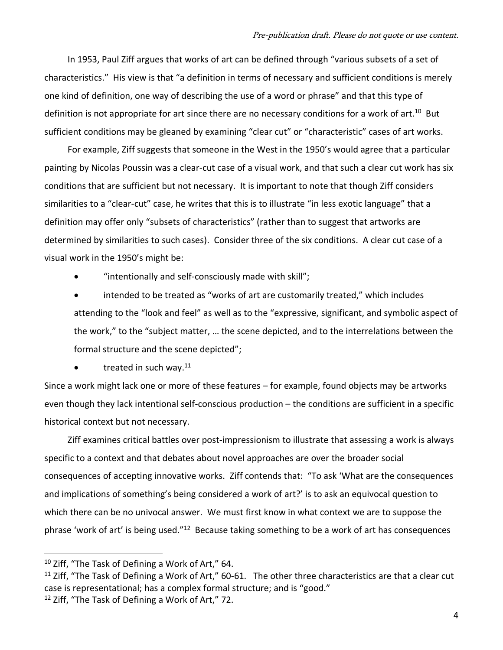In 1953, Paul Ziff argues that works of art can be defined through "various subsets of a set of characteristics." His view is that "a definition in terms of necessary and sufficient conditions is merely one kind of definition, one way of describing the use of a word or phrase" and that this type of definition is not appropriate for art since there are no necessary conditions for a work of art.<sup>10</sup> But sufficient conditions may be gleaned by examining "clear cut" or "characteristic" cases of art works.

For example, Ziff suggests that someone in the West in the 1950's would agree that a particular painting by Nicolas Poussin was a clear-cut case of a visual work, and that such a clear cut work has six conditions that are sufficient but not necessary. It is important to note that though Ziff considers similarities to a "clear-cut" case, he writes that this is to illustrate "in less exotic language" that a definition may offer only "subsets of characteristics" (rather than to suggest that artworks are determined by similarities to such cases). Consider three of the six conditions. A clear cut case of a visual work in the 1950's might be:

• "intentionally and self-consciously made with skill";

• intended to be treated as "works of art are customarily treated," which includes attending to the "look and feel" as well as to the "expressive, significant, and symbolic aspect of the work," to the "subject matter, … the scene depicted, and to the interrelations between the formal structure and the scene depicted";

• treated in such way. $11$ 

Since a work might lack one or more of these features – for example, found objects may be artworks even though they lack intentional self-conscious production – the conditions are sufficient in a specific historical context but not necessary.

Ziff examines critical battles over post-impressionism to illustrate that assessing a work is always specific to a context and that debates about novel approaches are over the broader social consequences of accepting innovative works. Ziff contends that: "To ask 'What are the consequences and implications of something's being considered a work of art?' is to ask an equivocal question to which there can be no univocal answer. We must first know in what context we are to suppose the phrase 'work of art' is being used."<sup>12</sup> Because taking something to be a work of art has consequences

 $10$  Ziff, "The Task of Defining a Work of Art," 64.

 $11$  Ziff, "The Task of Defining a Work of Art," 60-61. The other three characteristics are that a clear cut case is representational; has a complex formal structure; and is "good."

 $12$  Ziff, "The Task of Defining a Work of Art," 72.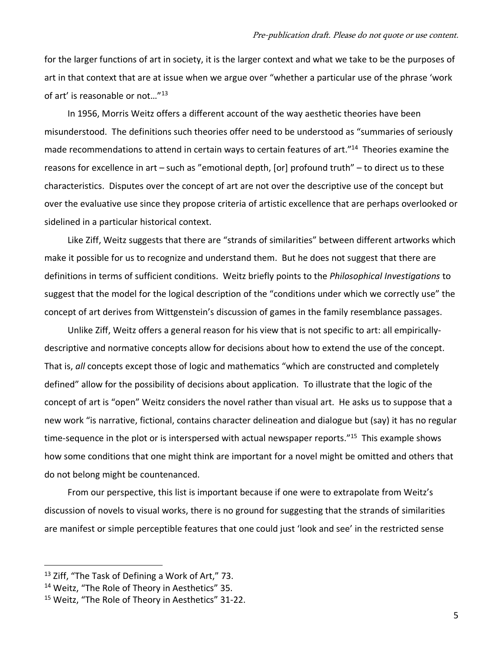for the larger functions of art in society, it is the larger context and what we take to be the purposes of art in that context that are at issue when we argue over "whether a particular use of the phrase 'work of art' is reasonable or not..."<sup>13</sup>

In 1956, Morris Weitz offers a different account of the way aesthetic theories have been misunderstood. The definitions such theories offer need to be understood as "summaries of seriously made recommendations to attend in certain ways to certain features of art."<sup>14</sup> Theories examine the reasons for excellence in art – such as "emotional depth, [or] profound truth" – to direct us to these characteristics. Disputes over the concept of art are not over the descriptive use of the concept but over the evaluative use since they propose criteria of artistic excellence that are perhaps overlooked or sidelined in a particular historical context.

Like Ziff, Weitz suggests that there are "strands of similarities" between different artworks which make it possible for us to recognize and understand them. But he does not suggest that there are definitions in terms of sufficient conditions. Weitz briefly points to the *Philosophical Investigations* to suggest that the model for the logical description of the "conditions under which we correctly use" the concept of art derives from Wittgenstein's discussion of games in the family resemblance passages.

Unlike Ziff, Weitz offers a general reason for his view that is not specific to art: all empiricallydescriptive and normative concepts allow for decisions about how to extend the use of the concept. That is, *all* concepts except those of logic and mathematics "which are constructed and completely defined" allow for the possibility of decisions about application. To illustrate that the logic of the concept of art is "open" Weitz considers the novel rather than visual art. He asks us to suppose that a new work "is narrative, fictional, contains character delineation and dialogue but (say) it has no regular time-sequence in the plot or is interspersed with actual newspaper reports."<sup>15</sup> This example shows how some conditions that one might think are important for a novel might be omitted and others that do not belong might be countenanced.

From our perspective, this list is important because if one were to extrapolate from Weitz's discussion of novels to visual works, there is no ground for suggesting that the strands of similarities are manifest or simple perceptible features that one could just 'look and see' in the restricted sense

<sup>&</sup>lt;sup>13</sup> Ziff, "The Task of Defining a Work of Art," 73.

<sup>&</sup>lt;sup>14</sup> Weitz, "The Role of Theory in Aesthetics" 35.

<sup>15</sup> Weitz, "The Role of Theory in Aesthetics" 31-22.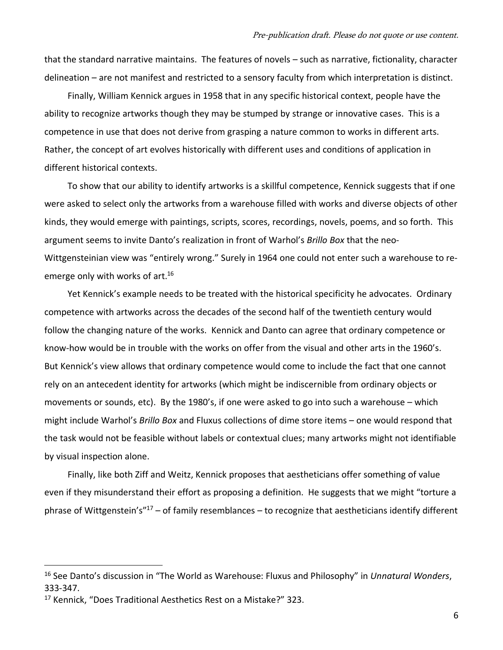that the standard narrative maintains. The features of novels – such as narrative, fictionality, character delineation – are not manifest and restricted to a sensory faculty from which interpretation is distinct.

Finally, William Kennick argues in 1958 that in any specific historical context, people have the ability to recognize artworks though they may be stumped by strange or innovative cases. This is a competence in use that does not derive from grasping a nature common to works in different arts. Rather, the concept of art evolves historically with different uses and conditions of application in different historical contexts.

To show that our ability to identify artworks is a skillful competence, Kennick suggests that if one were asked to select only the artworks from a warehouse filled with works and diverse objects of other kinds, they would emerge with paintings, scripts, scores, recordings, novels, poems, and so forth. This argument seems to invite Danto's realization in front of Warhol's *Brillo Box* that the neo-Wittgensteinian view was "entirely wrong." Surely in 1964 one could not enter such a warehouse to reemerge only with works of art.<sup>16</sup>

Yet Kennick's example needs to be treated with the historical specificity he advocates. Ordinary competence with artworks across the decades of the second half of the twentieth century would follow the changing nature of the works. Kennick and Danto can agree that ordinary competence or know-how would be in trouble with the works on offer from the visual and other arts in the 1960's. But Kennick's view allows that ordinary competence would come to include the fact that one cannot rely on an antecedent identity for artworks (which might be indiscernible from ordinary objects or movements or sounds, etc). By the 1980's, if one were asked to go into such a warehouse – which might include Warhol's *Brillo Box* and Fluxus collections of dime store items – one would respond that the task would not be feasible without labels or contextual clues; many artworks might not identifiable by visual inspection alone.

Finally, like both Ziff and Weitz, Kennick proposes that aestheticians offer something of value even if they misunderstand their effort as proposing a definition. He suggests that we might "torture a phrase of Wittgenstein's" $17 -$  of family resemblances – to recognize that aestheticians identify different

<sup>16</sup> See Danto's discussion in "The World as Warehouse: Fluxus and Philosophy" in *Unnatural Wonders*, 333-347.

<sup>17</sup> Kennick, "Does Traditional Aesthetics Rest on a Mistake?" 323.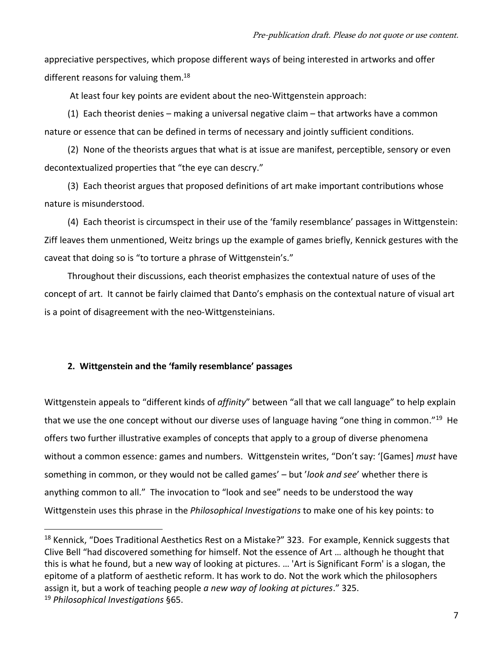appreciative perspectives, which propose different ways of being interested in artworks and offer different reasons for valuing them. $^{18}$ 

At least four key points are evident about the neo-Wittgenstein approach:

(1) Each theorist denies – making a universal negative claim – that artworks have a common nature or essence that can be defined in terms of necessary and jointly sufficient conditions.

(2) None of the theorists argues that what is at issue are manifest, perceptible, sensory or even decontextualized properties that "the eye can descry."

(3) Each theorist argues that proposed definitions of art make important contributions whose nature is misunderstood.

(4) Each theorist is circumspect in their use of the 'family resemblance' passages in Wittgenstein: Ziff leaves them unmentioned, Weitz brings up the example of games briefly, Kennick gestures with the caveat that doing so is "to torture a phrase of Wittgenstein's."

Throughout their discussions, each theorist emphasizes the contextual nature of uses of the concept of art. It cannot be fairly claimed that Danto's emphasis on the contextual nature of visual art is a point of disagreement with the neo-Wittgensteinians.

# **2. Wittgenstein and the 'family resemblance' passages**

Wittgenstein appeals to "different kinds of *affinity*" between "all that we call language" to help explain that we use the one concept without our diverse uses of language having "one thing in common."<sup>19</sup> He offers two further illustrative examples of concepts that apply to a group of diverse phenomena without a common essence: games and numbers. Wittgenstein writes, "Don't say: '[Games] *must* have something in common, or they would not be called games' – but '*look and see*' whether there is anything common to all." The invocation to "look and see" needs to be understood the way Wittgenstein uses this phrase in the *Philosophical Investigations* to make one of his key points: to

<sup>&</sup>lt;sup>18</sup> Kennick, "Does Traditional Aesthetics Rest on a Mistake?" 323. For example, Kennick suggests that Clive Bell "had discovered something for himself. Not the essence of Art … although he thought that this is what he found, but a new way of looking at pictures. … 'Art is Significant Form' is a slogan, the epitome of a platform of aesthetic reform. It has work to do. Not the work which the philosophers assign it, but a work of teaching people *a new way of looking at pictures*." 325. <sup>19</sup> *Philosophical Investigations* §65.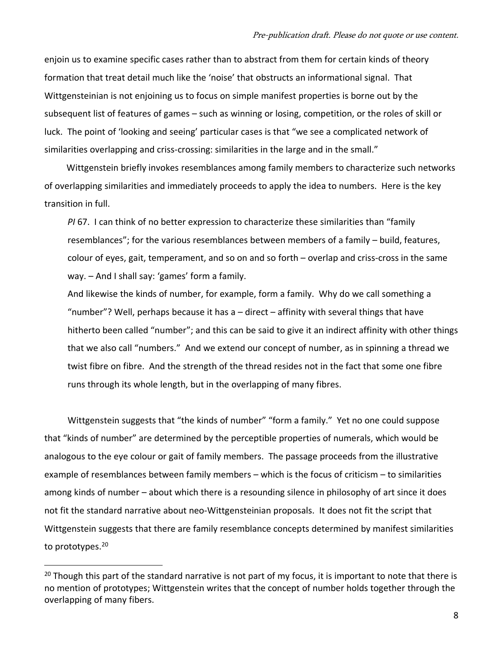enjoin us to examine specific cases rather than to abstract from them for certain kinds of theory formation that treat detail much like the 'noise' that obstructs an informational signal. That Wittgensteinian is not enjoining us to focus on simple manifest properties is borne out by the subsequent list of features of games – such as winning or losing, competition, or the roles of skill or luck. The point of 'looking and seeing' particular cases is that "we see a complicated network of similarities overlapping and criss-crossing: similarities in the large and in the small."

Wittgenstein briefly invokes resemblances among family members to characterize such networks of overlapping similarities and immediately proceeds to apply the idea to numbers. Here is the key transition in full.

*PI* 67. I can think of no better expression to characterize these similarities than "family resemblances"; for the various resemblances between members of a family – build, features, colour of eyes, gait, temperament, and so on and so forth – overlap and criss-cross in the same way. – And I shall say: 'games' form a family.

And likewise the kinds of number, for example, form a family. Why do we call something a "number"? Well, perhaps because it has a – direct – affinity with several things that have hitherto been called "number"; and this can be said to give it an indirect affinity with other things that we also call "numbers." And we extend our concept of number, as in spinning a thread we twist fibre on fibre. And the strength of the thread resides not in the fact that some one fibre runs through its whole length, but in the overlapping of many fibres.

Wittgenstein suggests that "the kinds of number" "form a family." Yet no one could suppose that "kinds of number" are determined by the perceptible properties of numerals, which would be analogous to the eye colour or gait of family members. The passage proceeds from the illustrative example of resemblances between family members – which is the focus of criticism – to similarities among kinds of number – about which there is a resounding silence in philosophy of art since it does not fit the standard narrative about neo-Wittgensteinian proposals. It does not fit the script that Wittgenstein suggests that there are family resemblance concepts determined by manifest similarities to prototypes.<sup>20</sup>

 $20$  Though this part of the standard narrative is not part of my focus, it is important to note that there is no mention of prototypes; Wittgenstein writes that the concept of number holds together through the overlapping of many fibers.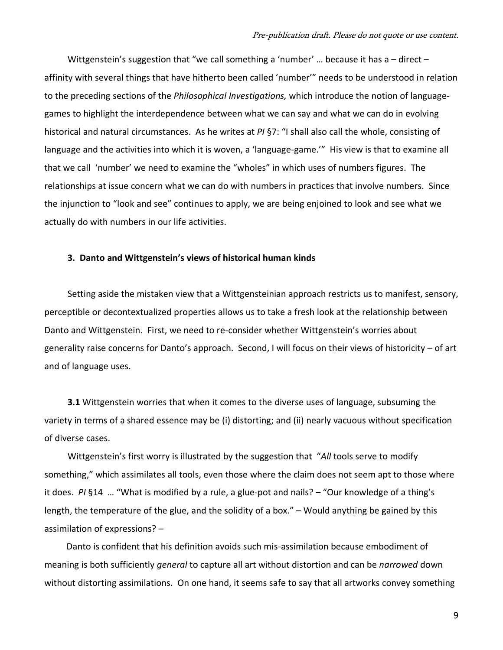Wittgenstein's suggestion that "we call something a 'number' ... because it has a – direct – affinity with several things that have hitherto been called 'number'" needs to be understood in relation to the preceding sections of the *Philosophical Investigations,* which introduce the notion of languagegames to highlight the interdependence between what we can say and what we can do in evolving historical and natural circumstances. As he writes at *PI* §7: "I shall also call the whole, consisting of language and the activities into which it is woven, a 'language-game.'" His view is that to examine all that we call 'number' we need to examine the "wholes" in which uses of numbers figures. The relationships at issue concern what we can do with numbers in practices that involve numbers. Since the injunction to "look and see" continues to apply, we are being enjoined to look and see what we actually do with numbers in our life activities.

## **3. Danto and Wittgenstein's views of historical human kinds**

Setting aside the mistaken view that a Wittgensteinian approach restricts us to manifest, sensory, perceptible or decontextualized properties allows us to take a fresh look at the relationship between Danto and Wittgenstein. First, we need to re-consider whether Wittgenstein's worries about generality raise concerns for Danto's approach. Second, I will focus on their views of historicity – of art and of language uses.

**3.1** Wittgenstein worries that when it comes to the diverse uses of language, subsuming the variety in terms of a shared essence may be (i) distorting; and (ii) nearly vacuous without specification of diverse cases.

Wittgenstein's first worry is illustrated by the suggestion that "*All* tools serve to modify something," which assimilates all tools, even those where the claim does not seem apt to those where it does. *PI* §14 … "What is modified by a rule, a glue-pot and nails? – "Our knowledge of a thing's length, the temperature of the glue, and the solidity of a box." – Would anything be gained by this assimilation of expressions? –

Danto is confident that his definition avoids such mis-assimilation because embodiment of meaning is both sufficiently *general* to capture all art without distortion and can be *narrowed* down without distorting assimilations. On one hand, it seems safe to say that all artworks convey something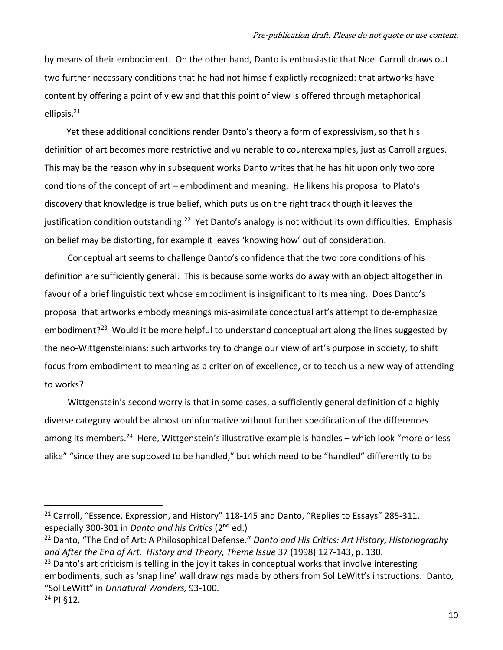by means of their embodiment. On the other hand, Danto is enthusiastic that Noel Carroll draws out two further necessary conditions that he had not himself explictly recognized: that artworks have content by offering a point of view and that this point of view is offered through metaphorical ellipsis.<sup>21</sup>

Yet these additional conditions render Danto's theory a form of expressivism, so that his definition of art becomes more restrictive and vulnerable to counterexamples, just as Carroll argues. This may be the reason why in subsequent works Danto writes that he has hit upon only two core conditions of the concept of art – embodiment and meaning. He likens his proposal to Plato's discovery that knowledge is true belief, which puts us on the right track though it leaves the justification condition outstanding.<sup>22</sup> Yet Danto's analogy is not without its own difficulties. Emphasis on belief may be distorting, for example it leaves 'knowing how' out of consideration.

Conceptual art seems to challenge Danto's confidence that the two core conditions of his definition are sufficiently general. This is because some works do away with an object altogether in favour of a brief linguistic text whose embodiment is insignificant to its meaning. Does Danto's proposal that artworks embody meanings mis-asimilate conceptual art's attempt to de-emphasize embodiment?<sup>23</sup> Would it be more helpful to understand conceptual art along the lines suggested by the neo-Wittgensteinians: such artworks try to change our view of art's purpose in society, to shift focus from embodiment to meaning as a criterion of excellence, or to teach us a new way of attending to works?

Wittgenstein's second worry is that in some cases, a sufficiently general definition of a highly diverse category would be almost uninformative without further specification of the differences among its members.<sup>24</sup> Here, Wittgenstein's illustrative example is handles – which look "more or less alike" "since they are supposed to be handled," but which need to be "handled" differently to be

<sup>22</sup> Danto, "The End of Art: A Philosophical Defense." *Danto and His Critics: Art History, Historiography and After the End of Art. History and Theory, Theme Issue* 37 (1998) 127-143, p. 130.

 $23$  Danto's art criticism is telling in the joy it takes in conceptual works that involve interesting embodiments, such as 'snap line' wall drawings made by others from Sol LeWitt's instructions. Danto, "Sol LeWitt" in *Unnatural Wonders,* 93-100.

<sup>&</sup>lt;sup>21</sup> Carroll, "Essence, Expression, and History" 118-145 and Danto, "Replies to Essays" 285-311, especially 300-301 in *Danto and his Critics* (2nd ed.)

<sup>24</sup> PI §12.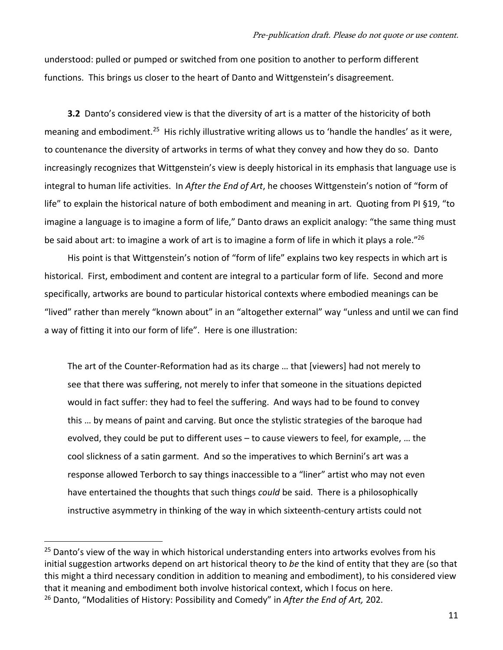understood: pulled or pumped or switched from one position to another to perform different functions. This brings us closer to the heart of Danto and Wittgenstein's disagreement.

**3.2** Danto's considered view is that the diversity of art is a matter of the historicity of both meaning and embodiment.<sup>25</sup> His richly illustrative writing allows us to 'handle the handles' as it were, to countenance the diversity of artworks in terms of what they convey and how they do so. Danto increasingly recognizes that Wittgenstein's view is deeply historical in its emphasis that language use is integral to human life activities. In *After the End of Art*, he chooses Wittgenstein's notion of "form of life" to explain the historical nature of both embodiment and meaning in art. Quoting from PI §19, "to imagine a language is to imagine a form of life," Danto draws an explicit analogy: "the same thing must be said about art: to imagine a work of art is to imagine a form of life in which it plays a role."<sup>26</sup>

His point is that Wittgenstein's notion of "form of life" explains two key respects in which art is historical. First, embodiment and content are integral to a particular form of life. Second and more specifically, artworks are bound to particular historical contexts where embodied meanings can be "lived" rather than merely "known about" in an "altogether external" way "unless and until we can find a way of fitting it into our form of life". Here is one illustration:

The art of the Counter-Reformation had as its charge … that [viewers] had not merely to see that there was suffering, not merely to infer that someone in the situations depicted would in fact suffer: they had to feel the suffering. And ways had to be found to convey this … by means of paint and carving. But once the stylistic strategies of the baroque had evolved, they could be put to different uses – to cause viewers to feel, for example, … the cool slickness of a satin garment. And so the imperatives to which Bernini's art was a response allowed Terborch to say things inaccessible to a "liner" artist who may not even have entertained the thoughts that such things *could* be said. There is a philosophically instructive asymmetry in thinking of the way in which sixteenth-century artists could not

<sup>&</sup>lt;sup>25</sup> Danto's view of the way in which historical understanding enters into artworks evolves from his initial suggestion artworks depend on art historical theory to *be* the kind of entity that they are (so that this might a third necessary condition in addition to meaning and embodiment), to his considered view that it meaning and embodiment both involve historical context, which I focus on here. <sup>26</sup> Danto, "Modalities of History: Possibility and Comedy" in *After the End of Art,* 202.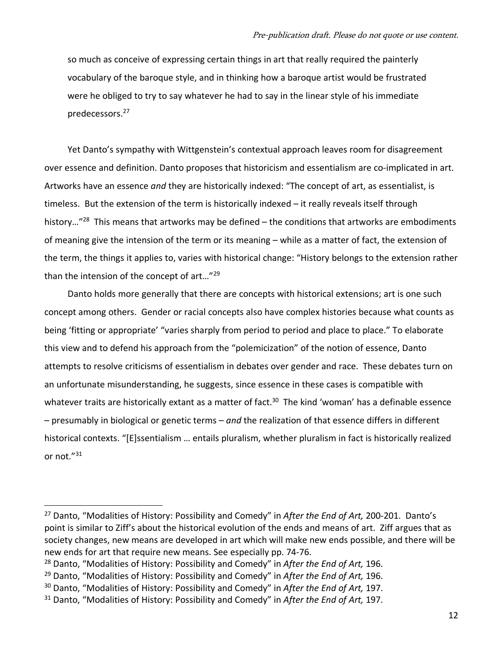so much as conceive of expressing certain things in art that really required the painterly vocabulary of the baroque style, and in thinking how a baroque artist would be frustrated were he obliged to try to say whatever he had to say in the linear style of his immediate predecessors.<sup>27</sup>

Yet Danto's sympathy with Wittgenstein's contextual approach leaves room for disagreement over essence and definition. Danto proposes that historicism and essentialism are co-implicated in art. Artworks have an essence *and* they are historically indexed: "The concept of art, as essentialist, is timeless. But the extension of the term is historically indexed – it really reveals itself through history..."<sup>28</sup> This means that artworks may be defined – the conditions that artworks are embodiments of meaning give the intension of the term or its meaning – while as a matter of fact, the extension of the term, the things it applies to, varies with historical change: "History belongs to the extension rather than the intension of the concept of art..."<sup>29</sup>

Danto holds more generally that there are concepts with historical extensions; art is one such concept among others. Gender or racial concepts also have complex histories because what counts as being 'fitting or appropriate' "varies sharply from period to period and place to place." To elaborate this view and to defend his approach from the "polemicization" of the notion of essence, Danto attempts to resolve criticisms of essentialism in debates over gender and race.These debates turn on an unfortunate misunderstanding, he suggests, since essence in these cases is compatible with whatever traits are historically extant as a matter of fact.<sup>30</sup> The kind 'woman' has a definable essence – presumably in biological or genetic terms – *and* the realization of that essence differs in different historical contexts. "[E]ssentialism … entails pluralism, whether pluralism in fact is historically realized or not."<sup>31</sup>

<sup>27</sup> Danto, "Modalities of History: Possibility and Comedy" in *After the End of Art,* 200-201. Danto's point is similar to Ziff's about the historical evolution of the ends and means of art. Ziff argues that as society changes, new means are developed in art which will make new ends possible, and there will be new ends for art that require new means. See especially pp. 74-76.

<sup>28</sup> Danto, "Modalities of History: Possibility and Comedy" in *After the End of Art,* 196.

<sup>29</sup> Danto, "Modalities of History: Possibility and Comedy" in *After the End of Art,* 196.

<sup>30</sup> Danto, "Modalities of History: Possibility and Comedy" in *After the End of Art,* 197.

<sup>31</sup> Danto, "Modalities of History: Possibility and Comedy" in *After the End of Art,* 197.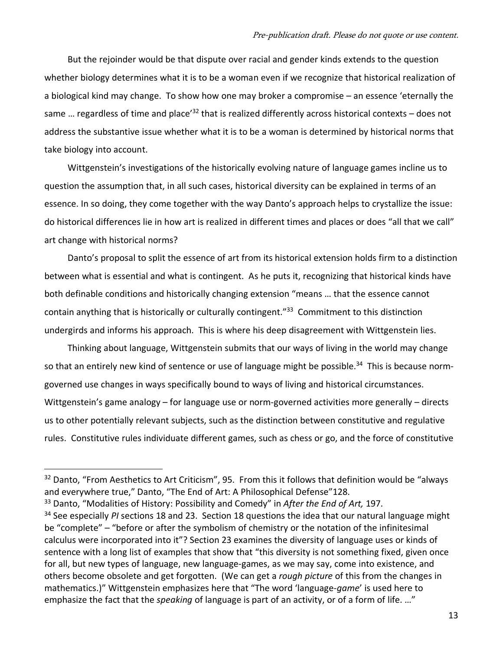But the rejoinder would be that dispute over racial and gender kinds extends to the question whether biology determines what it is to be a woman even if we recognize that historical realization of a biological kind may change. To show how one may broker a compromise – an essence 'eternally the same ... regardless of time and place<sup>'32</sup> that is realized differently across historical contexts – does not address the substantive issue whether what it is to be a woman is determined by historical norms that take biology into account.

Wittgenstein's investigations of the historically evolving nature of language games incline us to question the assumption that, in all such cases, historical diversity can be explained in terms of an essence. In so doing, they come together with the way Danto's approach helps to crystallize the issue: do historical differences lie in how art is realized in different times and places or does "all that we call" art change with historical norms?

Danto's proposal to split the essence of art from its historical extension holds firm to a distinction between what is essential and what is contingent. As he puts it, recognizing that historical kinds have both definable conditions and historically changing extension "means … that the essence cannot contain anything that is historically or culturally contingent."<sup>33</sup> Commitment to this distinction undergirds and informs his approach. This is where his deep disagreement with Wittgenstein lies.

Thinking about language, Wittgenstein submits that our ways of living in the world may change so that an entirely new kind of sentence or use of language might be possible.<sup>34</sup> This is because normgoverned use changes in ways specifically bound to ways of living and historical circumstances. Wittgenstein's game analogy – for language use or norm-governed activities more generally – directs us to other potentially relevant subjects, such as the distinction between constitutive and regulative rules.Constitutive rules individuate different games, such as chess or go, and the force of constitutive

 $32$  Danto, "From Aesthetics to Art Criticism", 95. From this it follows that definition would be "always and everywhere true," Danto, "The End of Art: A Philosophical Defense"128.

<sup>33</sup> Danto, "Modalities of History: Possibility and Comedy" in *After the End of Art,* 197.

<sup>34</sup> See especially *PI* sections 18 and 23. Section 18 questions the idea that our natural language might be "complete" – "before or after the symbolism of chemistry or the notation of the infinitesimal calculus were incorporated into it"? Section 23 examines the diversity of language uses or kinds of sentence with a long list of examples that show that "this diversity is not something fixed, given once for all, but new types of language, new language-games, as we may say, come into existence, and others become obsolete and get forgotten. (We can get a *rough picture* of this from the changes in mathematics.)" Wittgenstein emphasizes here that "The word 'language-*game*' is used here to emphasize the fact that the *speaking* of language is part of an activity, or of a form of life. …"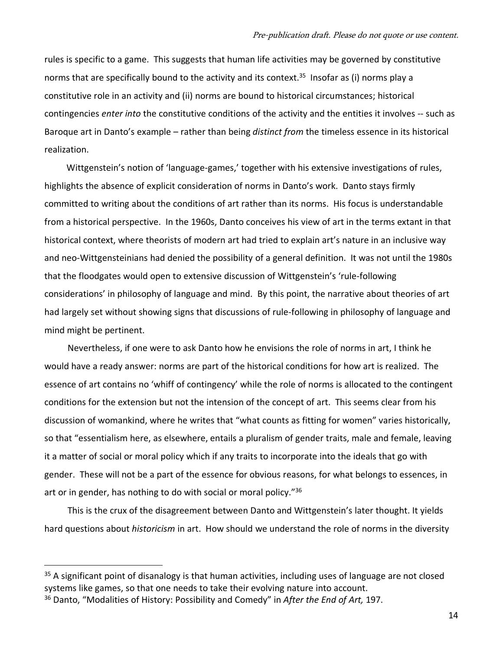rules is specific to a game. This suggests that human life activities may be governed by constitutive norms that are specifically bound to the activity and its context.<sup>35</sup> Insofar as (i) norms play a constitutive role in an activity and (ii) norms are bound to historical circumstances; historical contingencies *enter into* the constitutive conditions of the activity and the entities it involves -- such as Baroque art in Danto's example – rather than being *distinct from* the timeless essence in its historical realization.

Wittgenstein's notion of 'language-games,' together with his extensive investigations of rules, highlights the absence of explicit consideration of norms in Danto's work. Danto stays firmly committed to writing about the conditions of art rather than its norms. His focus is understandable from a historical perspective. In the 1960s, Danto conceives his view of art in the terms extant in that historical context, where theorists of modern art had tried to explain art's nature in an inclusive way and neo-Wittgensteinians had denied the possibility of a general definition. It was not until the 1980s that the floodgates would open to extensive discussion of Wittgenstein's 'rule-following considerations' in philosophy of language and mind. By this point, the narrative about theories of art had largely set without showing signs that discussions of rule-following in philosophy of language and mind might be pertinent.

Nevertheless, if one were to ask Danto how he envisions the role of norms in art, I think he would have a ready answer: norms are part of the historical conditions for how art is realized. The essence of art contains no 'whiff of contingency' while the role of norms is allocated to the contingent conditions for the extension but not the intension of the concept of art. This seems clear from his discussion of womankind, where he writes that "what counts as fitting for women" varies historically, so that "essentialism here, as elsewhere, entails a pluralism of gender traits, male and female, leaving it a matter of social or moral policy which if any traits to incorporate into the ideals that go with gender. These will not be a part of the essence for obvious reasons, for what belongs to essences, in art or in gender, has nothing to do with social or moral policy."<sup>36</sup>

This is the crux of the disagreement between Danto and Wittgenstein's later thought. It yields hard questions about *historicism* in art. How should we understand the role of norms in the diversity

14

 $35$  A significant point of disanalogy is that human activities, including uses of language are not closed systems like games, so that one needs to take their evolving nature into account.

<sup>36</sup> Danto, "Modalities of History: Possibility and Comedy" in *After the End of Art,* 197.